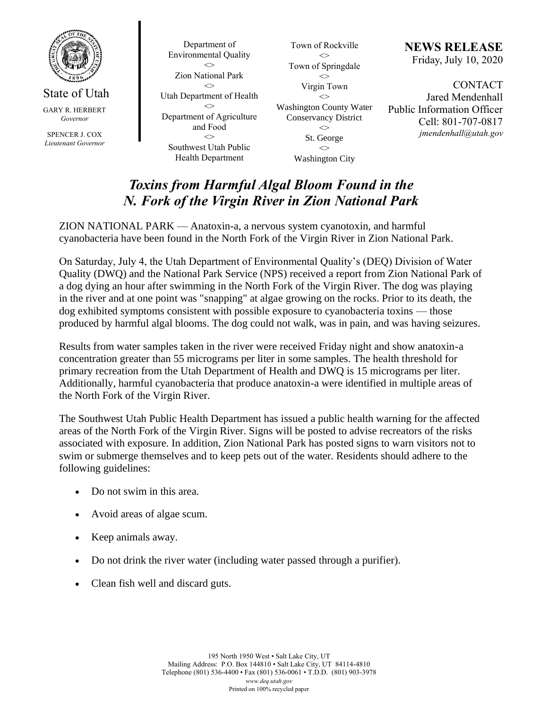

State of Utah

GARY R. HERBERT *Governor*

SPENCER J. COX *Lieutenant Governor*

Department of Environmental Quality  $\Diamond$ Zion National Park  $\leftrightarrow$ Utah Department of Health  $\leq$ Department of Agriculture and Food  $\leftrightarrow$ Southwest Utah Public Health Department

Town of Rockville  $\mathbb{C}$ Town of Springdale  $\Diamond$ Virgin Town  $\leftrightarrow$ Washington County Water Conservancy District  $\Leftrightarrow$ St. George  $\mathord{<}$ 

Washington City

**NEWS RELEASE** Friday, July 10, 2020

**CONTACT** Jared Mendenhall Public Information Officer Cell: 801-707-0817 *jmendenhall@utah.gov*

## *Toxins from Harmful Algal Bloom Found in the N. Fork of the Virgin River in Zion National Park*

ZION NATIONAL PARK — Anatoxin-a, a nervous system cyanotoxin, and harmful cyanobacteria have been found in the North Fork of the Virgin River in Zion National Park.

On Saturday, July 4, the Utah Department of Environmental Quality's (DEQ) Division of Water Quality (DWQ) and the National Park Service (NPS) received a report from Zion National Park of a dog dying an hour after swimming in the North Fork of the Virgin River. The dog was playing in the river and at one point was "snapping" at algae growing on the rocks. Prior to its death, the dog exhibited symptoms consistent with possible exposure to cyanobacteria toxins — those produced by harmful algal blooms. The dog could not walk, was in pain, and was having seizures.

Results from water samples taken in the river were received Friday night and show anatoxin-a concentration greater than 55 micrograms per liter in some samples. The health threshold for primary recreation from the Utah Department of Health and DWQ is 15 micrograms per liter. Additionally, harmful cyanobacteria that produce anatoxin-a were identified in multiple areas of the North Fork of the Virgin River.

The Southwest Utah Public Health Department has issued a public health warning for the affected areas of the North Fork of the Virgin River. Signs will be posted to advise recreators of the risks associated with exposure. In addition, Zion National Park has posted signs to warn visitors not to swim or submerge themselves and to keep pets out of the water. Residents should adhere to the following guidelines:

- Do not swim in this area.
- Avoid areas of algae scum.
- Keep animals away.
- Do not drink the river water (including water passed through a purifier).
- Clean fish well and discard guts.